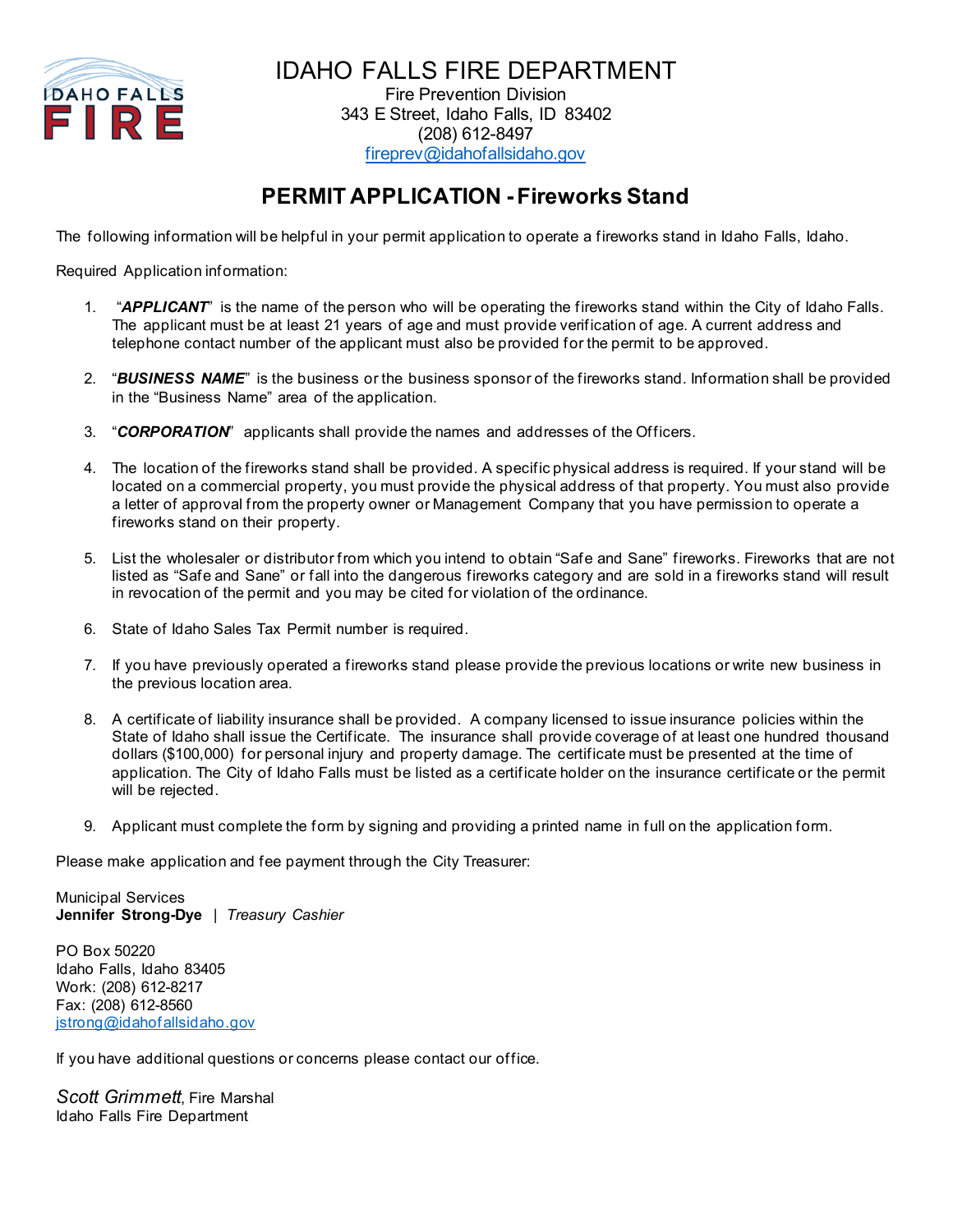

IDAHO FALLS FIRE DEPARTMENT Fire Prevention Division 343 E Street, Idaho Falls, ID 83402 (208) 612-8497

[fireprev@idahofallsidaho.gov](mailto:fireprev@idahofallsidaho.gov)

## **PERMIT APPLICATION -Fireworks Stand**

The following information will be helpful in your permit application to operate a fireworks stand in Idaho Falls, Idaho.

Required Application information:

- 1. "*APPLICANT*" is the name of the person who will be operating the fireworks stand within the City of Idaho Falls. The applicant must be at least 21 years of age and must provide verification of age. A current address and telephone contact number of the applicant must also be provided for the permit to be approved.
- 2. "*BUSINESS NAME*" is the business or the business sponsor of the fireworks stand. Information shall be provided in the "Business Name" area of the application.
- 3. "*CORPORATION*" applicants shall provide the names and addresses of the Officers.
- 4. The location of the fireworks stand shall be provided. A specific physical address is required. If your stand will be located on a commercial property, you must provide the physical address of that property. You must also provide a letter of approval from the property owner or Management Company that you have permission to operate a fireworks stand on their property.
- 5. List the wholesaler or distributor from which you intend to obtain "Safe and Sane" fireworks. Fireworks that are not listed as "Safe and Sane" or fall into the dangerous fireworks category and are sold in a fireworks stand will result in revocation of the permit and you may be cited for violation of the ordinance.
- 6. State of Idaho Sales Tax Permit number is required.
- 7. If you have previously operated a fireworks stand please provide the previous locations or write new business in the previous location area.
- 8. A certificate of liability insurance shall be provided. A company licensed to issue insurance policies within the State of Idaho shall issue the Certificate. The insurance shall provide coverage of at least one hundred thousand dollars (\$100,000) for personal injury and property damage. The certificate must be presented at the time of application. The City of Idaho Falls must be listed as a certificate holder on the insurance certificate or the permit will be rejected.
- 9. Applicant must complete the form by signing and providing a printed name in full on the application form.

Please make application and fee payment through the City Treasurer:

Municipal Services **Jennifer Strong-Dye** | *Treasury Cashier*

PO Box 50220 Idaho Falls, Idaho 83405 Work: (208) 612-8217 Fax: (208) 612-8560 [jstrong@idahofallsidaho.gov](mailto:jstrong@idahofallsidaho.gov)

If you have additional questions or concerns please contact our office.

*Scott Grimmett*, Fire Marshal Idaho Falls Fire Department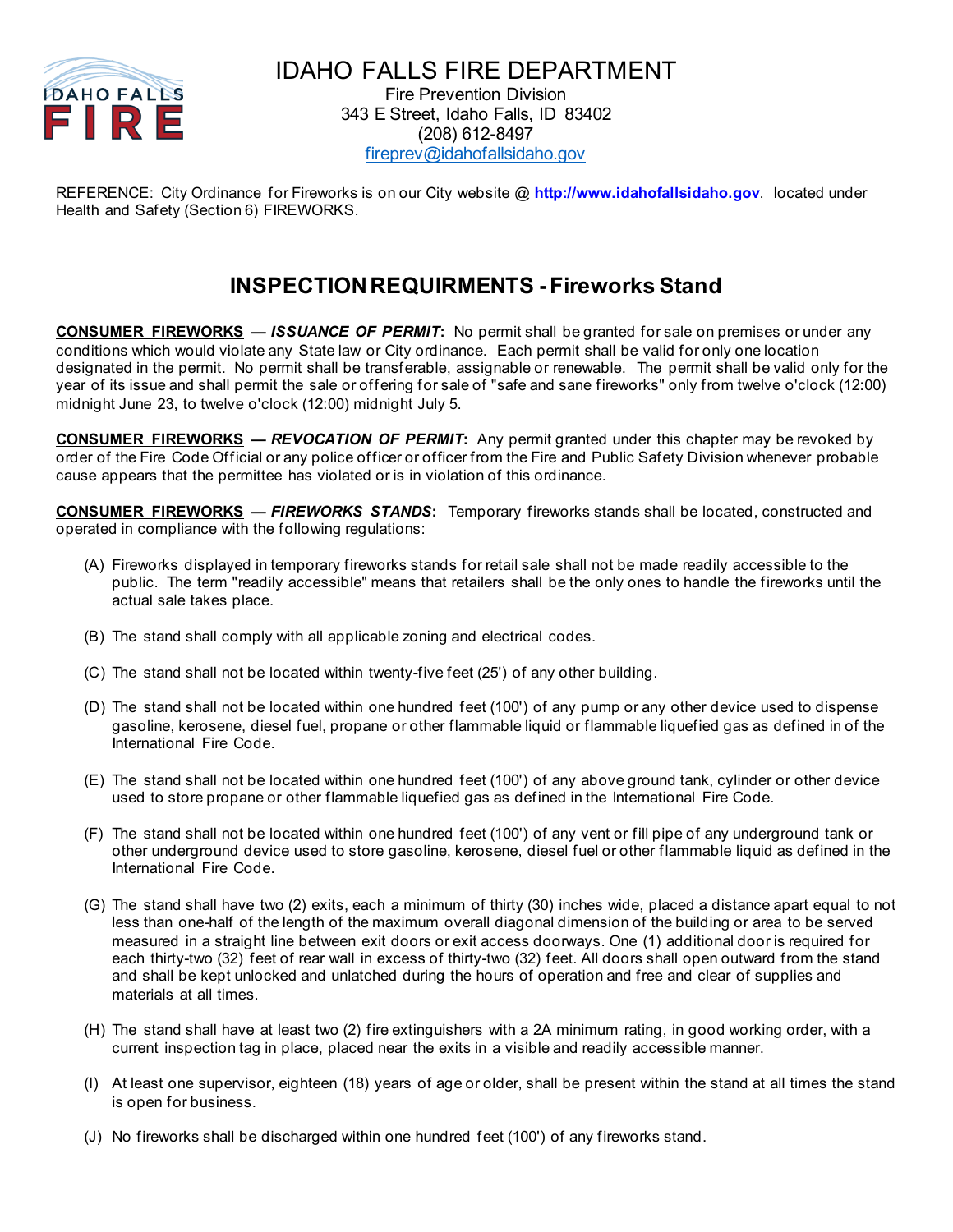

IDAHO FALLS FIRE DEPARTMENT Fire Prevention Division 343 E Street, Idaho Falls, ID 83402 (208) 612-8497 [fireprev@idahofallsidaho.gov](mailto:fireprev@idahofallsidaho.gov)

REFERENCE: City Ordinance for Fireworks is on our City website @ **[http://www.idahofallsidaho.gov](http://www.idahofallsidaho.gov/)**. located under Health and Safety (Section 6) FIREWORKS.

## **INSPECTION REQUIRMENTS -Fireworks Stand**

**CONSUMER FIREWORKS** *— ISSUANCE OF PERMIT***:** No permit shall be granted for sale on premises or under any conditions which would violate any State law or City ordinance. Each permit shall be valid for only one location designated in the permit. No permit shall be transferable, assignable or renewable. The permit shall be valid only for the year of its issue and shall permit the sale or offering for sale of "safe and sane fireworks" only from twelve o'clock (12:00) midnight June 23, to twelve o'clock (12:00) midnight July 5.

**CONSUMER FIREWORKS** *— REVOCATION OF PERMIT***:** Any permit granted under this chapter may be revoked by order of the Fire Code Official or any police officer or officer from the Fire and Public Safety Division whenever probable cause appears that the permittee has violated or is in violation of this ordinance.

**CONSUMER FIREWORKS —** *FIREWORKS STANDS***:** Temporary fireworks stands shall be located, constructed and operated in compliance with the following regulations:

- (A) Fireworks displayed in temporary fireworks stands for retail sale shall not be made readily accessible to the public. The term "readily accessible" means that retailers shall be the only ones to handle the fireworks until the actual sale takes place.
- (B) The stand shall comply with all applicable zoning and electrical codes.
- (C) The stand shall not be located within twenty-five feet (25') of any other building.
- (D) The stand shall not be located within one hundred feet (100') of any pump or any other device used to dispense gasoline, kerosene, diesel fuel, propane or other flammable liquid or flammable liquefied gas as defined in of the International Fire Code.
- (E) The stand shall not be located within one hundred feet (100') of any above ground tank, cylinder or other device used to store propane or other flammable liquefied gas as defined in the International Fire Code.
- (F) The stand shall not be located within one hundred feet (100') of any vent or fill pipe of any underground tank or other underground device used to store gasoline, kerosene, diesel fuel or other flammable liquid as defined in the International Fire Code.
- (G) The stand shall have two (2) exits, each a minimum of thirty (30) inches wide, placed a distance apart equal to not less than one-half of the length of the maximum overall diagonal dimension of the building or area to be served measured in a straight line between exit doors or exit access doorways. One (1) additional door is required for each thirty-two (32) feet of rear wall in excess of thirty-two (32) feet. All doors shall open outward from the stand and shall be kept unlocked and unlatched during the hours of operation and free and clear of supplies and materials at all times.
- (H) The stand shall have at least two (2) fire extinguishers with a 2A minimum rating, in good working order, with a current inspection tag in place, placed near the exits in a visible and readily accessible manner.
- (I) At least one supervisor, eighteen (18) years of age or older, shall be present within the stand at all times the stand is open for business.
- (J) No fireworks shall be discharged within one hundred feet (100') of any fireworks stand.